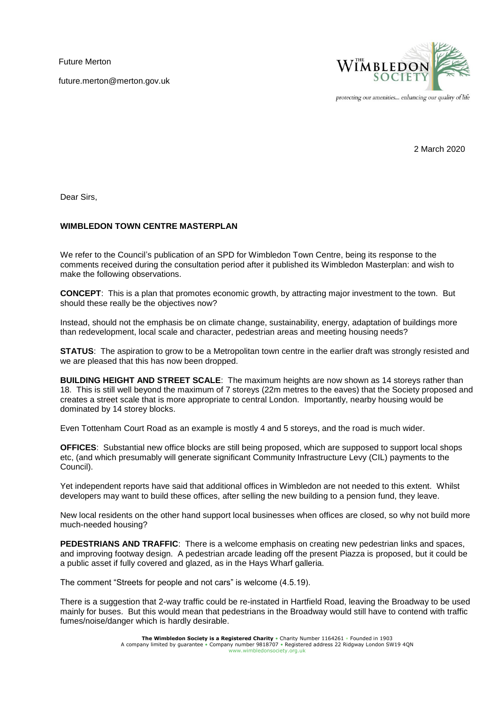Future Merton

future.merton@merton.gov.uk



protecting our amenities... enhancing our quality of life

2 March 2020

Dear Sirs,

## **WIMBLEDON TOWN CENTRE MASTERPLAN**

We refer to the Council's publication of an SPD for Wimbledon Town Centre, being its response to the comments received during the consultation period after it published its Wimbledon Masterplan: and wish to make the following observations.

**CONCEPT**: This is a plan that promotes economic growth, by attracting major investment to the town. But should these really be the objectives now?

Instead, should not the emphasis be on climate change, sustainability, energy, adaptation of buildings more than redevelopment, local scale and character, pedestrian areas and meeting housing needs?

**STATUS:** The aspiration to grow to be a Metropolitan town centre in the earlier draft was strongly resisted and we are pleased that this has now been dropped.

**BUILDING HEIGHT AND STREET SCALE**: The maximum heights are now shown as 14 storeys rather than 18. This is still well beyond the maximum of 7 storeys (22m metres to the eaves) that the Society proposed and creates a street scale that is more appropriate to central London. Importantly, nearby housing would be dominated by 14 storey blocks.

Even Tottenham Court Road as an example is mostly 4 and 5 storeys, and the road is much wider.

**OFFICES**: Substantial new office blocks are still being proposed, which are supposed to support local shops etc, (and which presumably will generate significant Community Infrastructure Levy (CIL) payments to the Council).

Yet independent reports have said that additional offices in Wimbledon are not needed to this extent. Whilst developers may want to build these offices, after selling the new building to a pension fund, they leave.

New local residents on the other hand support local businesses when offices are closed, so why not build more much-needed housing?

**PEDESTRIANS AND TRAFFIC**: There is a welcome emphasis on creating new pedestrian links and spaces, and improving footway design. A pedestrian arcade leading off the present Piazza is proposed, but it could be a public asset if fully covered and glazed, as in the Hays Wharf galleria.

The comment "Streets for people and not cars" is welcome (4.5.19).

There is a suggestion that 2-way traffic could be re-instated in Hartfield Road, leaving the Broadway to be used mainly for buses. But this would mean that pedestrians in the Broadway would still have to contend with traffic fumes/noise/danger which is hardly desirable.